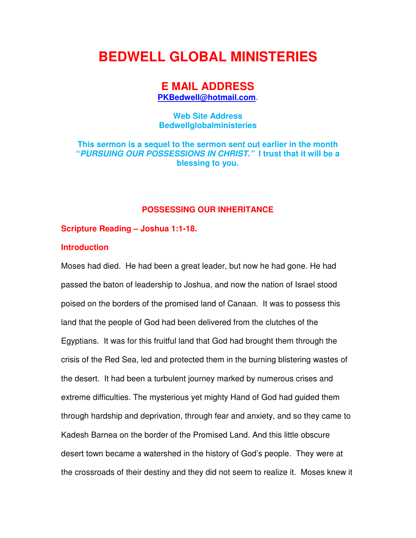# **BEDWELL GLOBAL MINISTERIES**

## **E MAIL ADDRESS**

**PKBedwell@hotmail.com.** 

**Web Site Address Bedwellglobalministeries** 

**This sermon is a sequel to the sermon sent out earlier in the month "PURSUING OUR POSSESSIONS IN CHRIST." I trust that it will be a blessing to you.** 

### **POSSESSING OUR INHERITANCE**

#### **Scripture Reading – Joshua 1:1-18.**

### **Introduction**

Moses had died. He had been a great leader, but now he had gone. He had passed the baton of leadership to Joshua, and now the nation of Israel stood poised on the borders of the promised land of Canaan. It was to possess this land that the people of God had been delivered from the clutches of the Egyptians. It was for this fruitful land that God had brought them through the crisis of the Red Sea, led and protected them in the burning blistering wastes of the desert. It had been a turbulent journey marked by numerous crises and extreme difficulties. The mysterious yet mighty Hand of God had guided them through hardship and deprivation, through fear and anxiety, and so they came to Kadesh Barnea on the border of the Promised Land. And this little obscure desert town became a watershed in the history of God's people. They were at the crossroads of their destiny and they did not seem to realize it. Moses knew it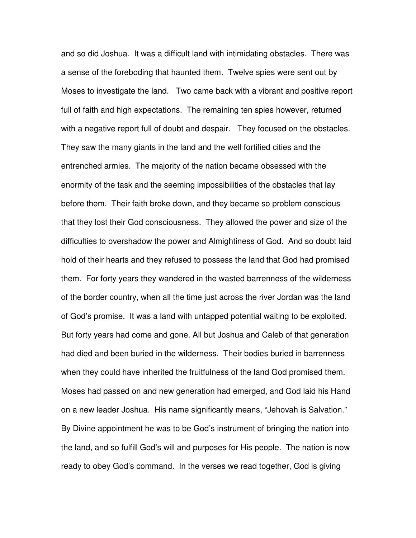and so did Joshua. It was a difficult land with intimidating obstacles. There was a sense of the foreboding that haunted them. Twelve spies were sent out by Moses to investigate the land. Two came back with a vibrant and positive report full of faith and high expectations. The remaining ten spies however, returned with a negative report full of doubt and despair. They focused on the obstacles. They saw the many giants in the land and the well fortified cities and the entrenched armies. The majority of the nation became obsessed with the enormity of the task and the seeming impossibilities of the obstacles that lay before them. Their faith broke down, and they became so problem conscious that they lost their God consciousness. They allowed the power and size of the difficulties to overshadow the power and Almightiness of God. And so doubt laid hold of their hearts and they refused to possess the land that God had promised them. For forty years they wandered in the wasted barrenness of the wilderness of the border country, when all the time just across the river Jordan was the land of God's promise. It was a land with untapped potential waiting to be exploited. But forty years had come and gone. All but Joshua and Caleb of that generation had died and been buried in the wilderness. Their bodies buried in barrenness when they could have inherited the fruitfulness of the land God promised them. Moses had passed on and new generation had emerged, and God laid his Hand on a new leader Joshua. His name significantly means, "Jehovah is Salvation." By Divine appointment he was to be God's instrument of bringing the nation into the land, and so fulfill God's will and purposes for His people. The nation is now ready to obey God's command. In the verses we read together, God is giving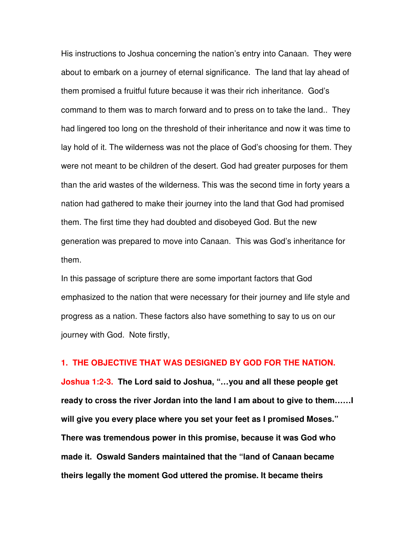His instructions to Joshua concerning the nation's entry into Canaan. They were about to embark on a journey of eternal significance. The land that lay ahead of them promised a fruitful future because it was their rich inheritance. God's command to them was to march forward and to press on to take the land.. They had lingered too long on the threshold of their inheritance and now it was time to lay hold of it. The wilderness was not the place of God's choosing for them. They were not meant to be children of the desert. God had greater purposes for them than the arid wastes of the wilderness. This was the second time in forty years a nation had gathered to make their journey into the land that God had promised them. The first time they had doubted and disobeyed God. But the new generation was prepared to move into Canaan. This was God's inheritance for them.

In this passage of scripture there are some important factors that God emphasized to the nation that were necessary for their journey and life style and progress as a nation. These factors also have something to say to us on our journey with God. Note firstly,

### **1. THE OBJECTIVE THAT WAS DESIGNED BY GOD FOR THE NATION.**

**Joshua 1:2-3. The Lord said to Joshua, "…you and all these people get ready to cross the river Jordan into the land I am about to give to them……I will give you every place where you set your feet as I promised Moses." There was tremendous power in this promise, because it was God who made it. Oswald Sanders maintained that the "land of Canaan became theirs legally the moment God uttered the promise. It became theirs**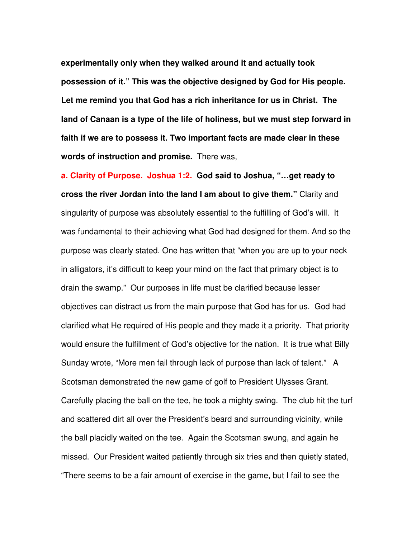**experimentally only when they walked around it and actually took possession of it." This was the objective designed by God for His people. Let me remind you that God has a rich inheritance for us in Christ. The land of Canaan is a type of the life of holiness, but we must step forward in faith if we are to possess it. Two important facts are made clear in these words of instruction and promise.** There was,

**a. Clarity of Purpose. Joshua 1:2. God said to Joshua, "…get ready to cross the river Jordan into the land I am about to give them."** Clarity and singularity of purpose was absolutely essential to the fulfilling of God's will. It was fundamental to their achieving what God had designed for them. And so the purpose was clearly stated. One has written that "when you are up to your neck in alligators, it's difficult to keep your mind on the fact that primary object is to drain the swamp." Our purposes in life must be clarified because lesser objectives can distract us from the main purpose that God has for us. God had clarified what He required of His people and they made it a priority. That priority would ensure the fulfillment of God's objective for the nation. It is true what Billy Sunday wrote, "More men fail through lack of purpose than lack of talent." A Scotsman demonstrated the new game of golf to President Ulysses Grant. Carefully placing the ball on the tee, he took a mighty swing. The club hit the turf and scattered dirt all over the President's beard and surrounding vicinity, while the ball placidly waited on the tee. Again the Scotsman swung, and again he missed. Our President waited patiently through six tries and then quietly stated, "There seems to be a fair amount of exercise in the game, but I fail to see the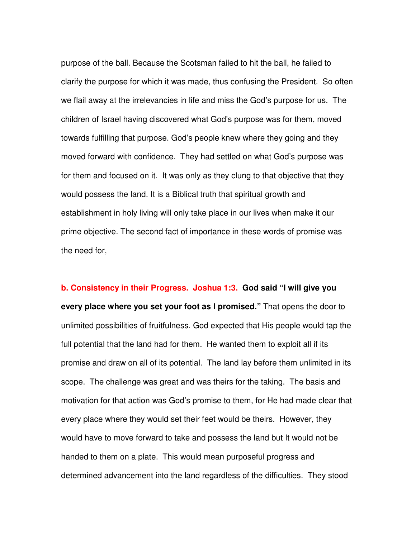purpose of the ball. Because the Scotsman failed to hit the ball, he failed to clarify the purpose for which it was made, thus confusing the President. So often we flail away at the irrelevancies in life and miss the God's purpose for us. The children of Israel having discovered what God's purpose was for them, moved towards fulfilling that purpose. God's people knew where they going and they moved forward with confidence. They had settled on what God's purpose was for them and focused on it. It was only as they clung to that objective that they would possess the land. It is a Biblical truth that spiritual growth and establishment in holy living will only take place in our lives when make it our prime objective. The second fact of importance in these words of promise was the need for,

**b. Consistency in their Progress. Joshua 1:3. God said "I will give you every place where you set your foot as I promised."** That opens the door to unlimited possibilities of fruitfulness. God expected that His people would tap the full potential that the land had for them. He wanted them to exploit all if its promise and draw on all of its potential. The land lay before them unlimited in its scope. The challenge was great and was theirs for the taking. The basis and motivation for that action was God's promise to them, for He had made clear that every place where they would set their feet would be theirs. However, they would have to move forward to take and possess the land but It would not be handed to them on a plate. This would mean purposeful progress and determined advancement into the land regardless of the difficulties. They stood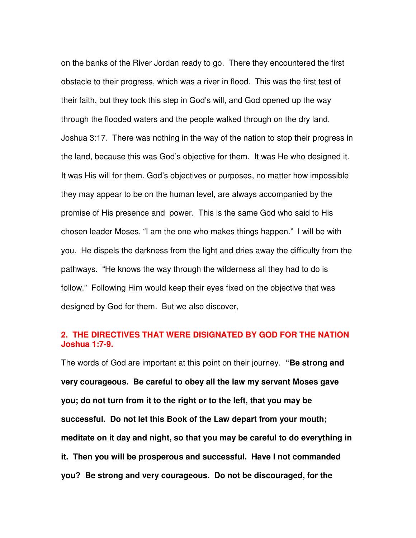on the banks of the River Jordan ready to go. There they encountered the first obstacle to their progress, which was a river in flood. This was the first test of their faith, but they took this step in God's will, and God opened up the way through the flooded waters and the people walked through on the dry land. Joshua 3:17. There was nothing in the way of the nation to stop their progress in the land, because this was God's objective for them. It was He who designed it. It was His will for them. God's objectives or purposes, no matter how impossible they may appear to be on the human level, are always accompanied by the promise of His presence and power. This is the same God who said to His chosen leader Moses, "I am the one who makes things happen." I will be with you. He dispels the darkness from the light and dries away the difficulty from the pathways. "He knows the way through the wilderness all they had to do is follow." Following Him would keep their eyes fixed on the objective that was designed by God for them. But we also discover,

### **2. THE DIRECTIVES THAT WERE DISIGNATED BY GOD FOR THE NATION Joshua 1:7-9.**

The words of God are important at this point on their journey. **"Be strong and very courageous. Be careful to obey all the law my servant Moses gave you; do not turn from it to the right or to the left, that you may be successful. Do not let this Book of the Law depart from your mouth; meditate on it day and night, so that you may be careful to do everything in it. Then you will be prosperous and successful. Have I not commanded you? Be strong and very courageous. Do not be discouraged, for the**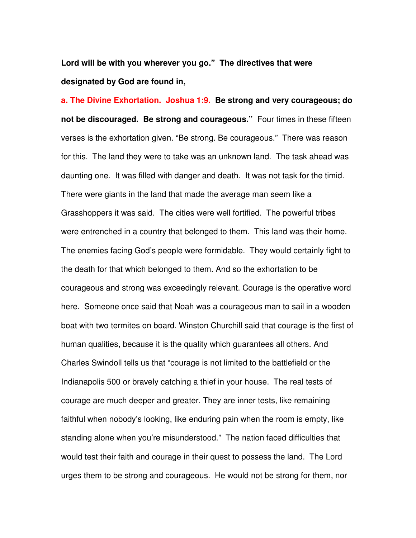**Lord will be with you wherever you go." The directives that were designated by God are found in,** 

**a. The Divine Exhortation. Joshua 1:9. Be strong and very courageous; do not be discouraged. Be strong and courageous."** Four times in these fifteen verses is the exhortation given. "Be strong. Be courageous." There was reason for this. The land they were to take was an unknown land. The task ahead was daunting one. It was filled with danger and death. It was not task for the timid. There were giants in the land that made the average man seem like a Grasshoppers it was said. The cities were well fortified. The powerful tribes were entrenched in a country that belonged to them. This land was their home. The enemies facing God's people were formidable. They would certainly fight to the death for that which belonged to them. And so the exhortation to be courageous and strong was exceedingly relevant. Courage is the operative word here. Someone once said that Noah was a courageous man to sail in a wooden boat with two termites on board. Winston Churchill said that courage is the first of human qualities, because it is the quality which guarantees all others. And Charles Swindoll tells us that "courage is not limited to the battlefield or the Indianapolis 500 or bravely catching a thief in your house. The real tests of courage are much deeper and greater. They are inner tests, like remaining faithful when nobody's looking, like enduring pain when the room is empty, like standing alone when you're misunderstood." The nation faced difficulties that would test their faith and courage in their quest to possess the land. The Lord urges them to be strong and courageous. He would not be strong for them, nor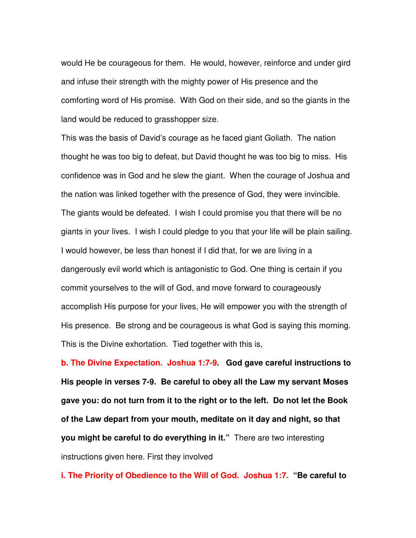would He be courageous for them. He would, however, reinforce and under gird and infuse their strength with the mighty power of His presence and the comforting word of His promise. With God on their side, and so the giants in the land would be reduced to grasshopper size.

This was the basis of David's courage as he faced giant Goliath. The nation thought he was too big to defeat, but David thought he was too big to miss. His confidence was in God and he slew the giant. When the courage of Joshua and the nation was linked together with the presence of God, they were invincible. The giants would be defeated. I wish I could promise you that there will be no giants in your lives. I wish I could pledge to you that your life will be plain sailing. I would however, be less than honest if I did that, for we are living in a dangerously evil world which is antagonistic to God. One thing is certain if you commit yourselves to the will of God, and move forward to courageously accomplish His purpose for your lives, He will empower you with the strength of His presence. Be strong and be courageous is what God is saying this morning. This is the Divine exhortation. Tied together with this is,

**b. The Divine Expectation. Joshua 1:7-9. God gave careful instructions to His people in verses 7-9. Be careful to obey all the Law my servant Moses gave you: do not turn from it to the right or to the left. Do not let the Book of the Law depart from your mouth, meditate on it day and night, so that you might be careful to do everything in it."** There are two interesting instructions given here. First they involved

**i. The Priority of Obedience to the Will of God. Joshua 1:7. "Be careful to**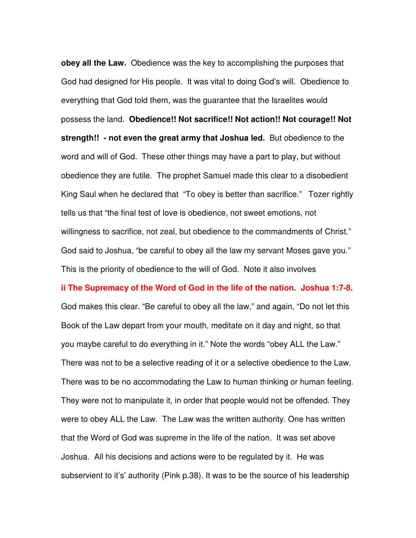**obey all the Law.** Obedience was the key to accomplishing the purposes that God had designed for His people. It was vital to doing God's will. Obedience to everything that God told them, was the guarantee that the Israelites would possess the land. **Obedience!! Not sacrifice!! Not action!! Not courage!! Not strength!! - not even the great army that Joshua led.** But obedience to the word and will of God. These other things may have a part to play, but without obedience they are futile. The prophet Samuel made this clear to a disobedient King Saul when he declared that "To obey is better than sacrifice." Tozer rightly tells us that "the final test of love is obedience, not sweet emotions, not willingness to sacrifice, not zeal, but obedience to the commandments of Christ." God said to Joshua, "be careful to obey all the law my servant Moses gave you." This is the priority of obedience to the will of God. Note it also involves

**ii The Supremacy of the Word of God in the life of the nation. Joshua 1:7-8.**  God makes this clear. "Be careful to obey all the law," and again, "Do not let this Book of the Law depart from your mouth, meditate on it day and night, so that you maybe careful to do everything in it." Note the words "obey ALL the Law." There was not to be a selective reading of it or a selective obedience to the Law. There was to be no accommodating the Law to human thinking or human feeling. They were not to manipulate it, in order that people would not be offended. They were to obey ALL the Law. The Law was the written authority. One has written that the Word of God was supreme in the life of the nation. It was set above Joshua. All his decisions and actions were to be regulated by it. He was subservient to it's' authority (Pink p.38). It was to be the source of his leadership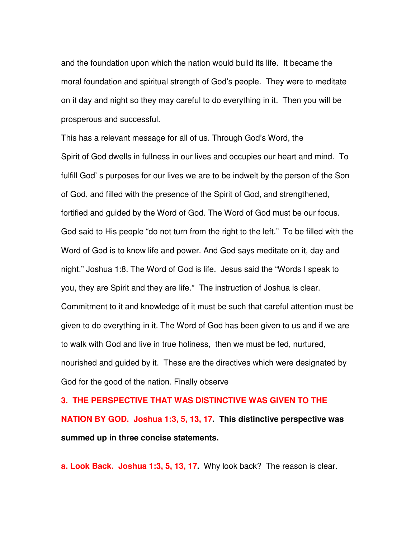and the foundation upon which the nation would build its life. It became the moral foundation and spiritual strength of God's people. They were to meditate on it day and night so they may careful to do everything in it. Then you will be prosperous and successful.

This has a relevant message for all of us. Through God's Word, the Spirit of God dwells in fullness in our lives and occupies our heart and mind. To fulfill God' s purposes for our lives we are to be indwelt by the person of the Son of God, and filled with the presence of the Spirit of God, and strengthened, fortified and guided by the Word of God. The Word of God must be our focus. God said to His people "do not turn from the right to the left." To be filled with the Word of God is to know life and power. And God says meditate on it, day and night." Joshua 1:8. The Word of God is life. Jesus said the "Words I speak to you, they are Spirit and they are life." The instruction of Joshua is clear. Commitment to it and knowledge of it must be such that careful attention must be given to do everything in it. The Word of God has been given to us and if we are to walk with God and live in true holiness, then we must be fed, nurtured, nourished and guided by it. These are the directives which were designated by God for the good of the nation. Finally observe

**3. THE PERSPECTIVE THAT WAS DISTINCTIVE WAS GIVEN TO THE NATION BY GOD. Joshua 1:3, 5, 13, 17. This distinctive perspective was summed up in three concise statements.**

**a. Look Back. Joshua 1:3, 5, 13, 17.** Why look back? The reason is clear.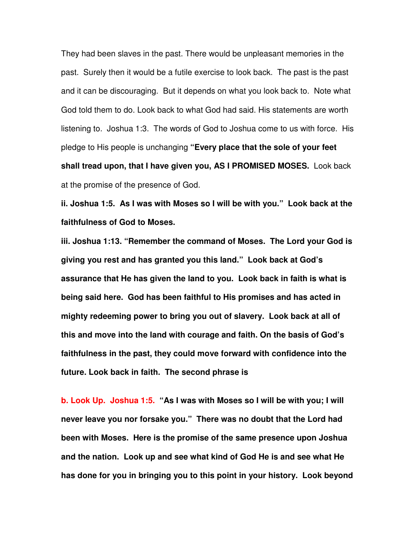They had been slaves in the past. There would be unpleasant memories in the past. Surely then it would be a futile exercise to look back. The past is the past and it can be discouraging. But it depends on what you look back to. Note what God told them to do. Look back to what God had said. His statements are worth listening to. Joshua 1:3. The words of God to Joshua come to us with force. His pledge to His people is unchanging **"Every place that the sole of your feet shall tread upon, that I have given you, AS I PROMISED MOSES.** Look back at the promise of the presence of God.

**ii. Joshua 1:5. As I was with Moses so I will be with you." Look back at the faithfulness of God to Moses.** 

**iii. Joshua 1:13. "Remember the command of Moses. The Lord your God is giving you rest and has granted you this land." Look back at God's assurance that He has given the land to you. Look back in faith is what is being said here. God has been faithful to His promises and has acted in mighty redeeming power to bring you out of slavery. Look back at all of this and move into the land with courage and faith. On the basis of God's faithfulness in the past, they could move forward with confidence into the future. Look back in faith. The second phrase is** 

**b. Look Up. Joshua 1:5. "As I was with Moses so I will be with you; I will never leave you nor forsake you." There was no doubt that the Lord had been with Moses. Here is the promise of the same presence upon Joshua and the nation. Look up and see what kind of God He is and see what He has done for you in bringing you to this point in your history. Look beyond**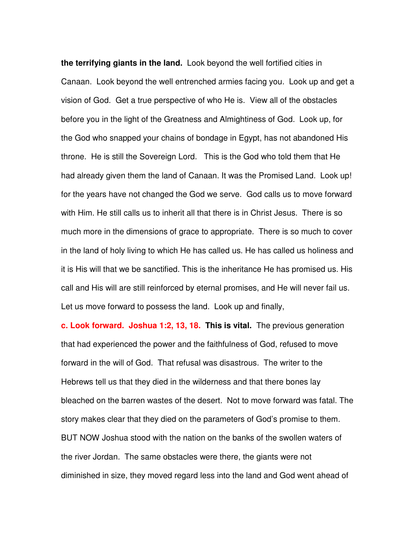**the terrifying giants in the land.** Look beyond the well fortified cities in Canaan. Look beyond the well entrenched armies facing you. Look up and get a vision of God. Get a true perspective of who He is. View all of the obstacles before you in the light of the Greatness and Almightiness of God. Look up, for the God who snapped your chains of bondage in Egypt, has not abandoned His throne. He is still the Sovereign Lord. This is the God who told them that He had already given them the land of Canaan. It was the Promised Land. Look up! for the years have not changed the God we serve. God calls us to move forward with Him. He still calls us to inherit all that there is in Christ Jesus. There is so much more in the dimensions of grace to appropriate. There is so much to cover in the land of holy living to which He has called us. He has called us holiness and it is His will that we be sanctified. This is the inheritance He has promised us. His call and His will are still reinforced by eternal promises, and He will never fail us. Let us move forward to possess the land. Look up and finally,

**c. Look forward. Joshua 1:2, 13, 18. This is vital.** The previous generation that had experienced the power and the faithfulness of God, refused to move forward in the will of God. That refusal was disastrous. The writer to the Hebrews tell us that they died in the wilderness and that there bones lay bleached on the barren wastes of the desert. Not to move forward was fatal. The story makes clear that they died on the parameters of God's promise to them. BUT NOW Joshua stood with the nation on the banks of the swollen waters of the river Jordan. The same obstacles were there, the giants were not diminished in size, they moved regard less into the land and God went ahead of